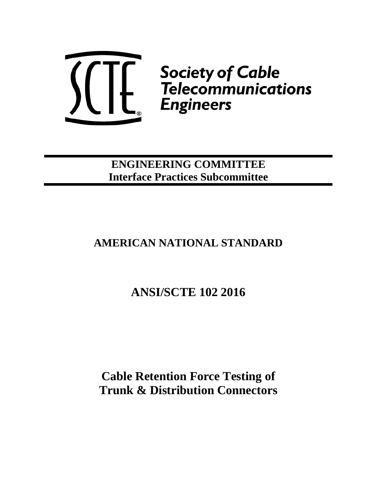

**ENGINEERING COMMITTEE Interface Practices Subcommittee**

## **AMERICAN NATIONAL STANDARD**

# **ANSI/SCTE 102 2016**

**Cable Retention Force Testing of Trunk & Distribution Connectors**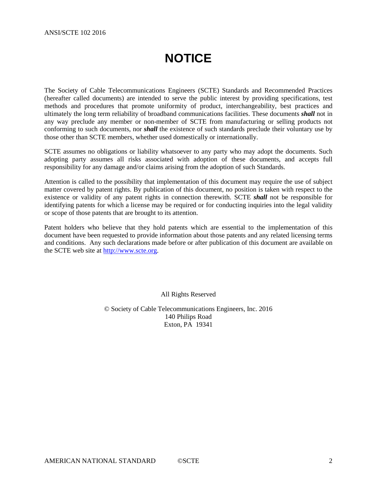# **NOTICE**

<span id="page-1-0"></span>The Society of Cable Telecommunications Engineers (SCTE) Standards and Recommended Practices (hereafter called documents) are intended to serve the public interest by providing specifications, test methods and procedures that promote uniformity of product, interchangeability, best practices and ultimately the long term reliability of broadband communications facilities. These documents *shall* not in any way preclude any member or non-member of SCTE from manufacturing or selling products not conforming to such documents, nor *shall* the existence of such standards preclude their voluntary use by those other than SCTE members, whether used domestically or internationally.

SCTE assumes no obligations or liability whatsoever to any party who may adopt the documents. Such adopting party assumes all risks associated with adoption of these documents, and accepts full responsibility for any damage and/or claims arising from the adoption of such Standards.

Attention is called to the possibility that implementation of this document may require the use of subject matter covered by patent rights. By publication of this document, no position is taken with respect to the existence or validity of any patent rights in connection therewith. SCTE *shall* not be responsible for identifying patents for which a license may be required or for conducting inquiries into the legal validity or scope of those patents that are brought to its attention.

Patent holders who believe that they hold patents which are essential to the implementation of this document have been requested to provide information about those patents and any related licensing terms and conditions. Any such declarations made before or after publication of this document are available on the SCTE web site at [http://www.scte.org.](http://www.scte.org/)

All Rights Reserved

© Society of Cable Telecommunications Engineers, Inc. 2016 140 Philips Road Exton, PA 19341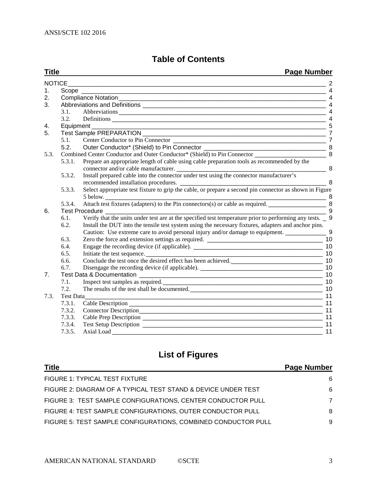## **Table of Contents**

**Title Page Number**

|                |                | <u>was indicided</u>                                                                                                               |                |
|----------------|----------------|------------------------------------------------------------------------------------------------------------------------------------|----------------|
| <b>NOTICE</b>  |                |                                                                                                                                    |                |
| 1.             |                |                                                                                                                                    | $\overline{4}$ |
| 2.             |                |                                                                                                                                    |                |
| 3.             |                |                                                                                                                                    |                |
|                | 3.1.           |                                                                                                                                    |                |
|                | 3.2.           | Definitions                                                                                                                        | $\overline{4}$ |
| 4.             | Equipment      |                                                                                                                                    | 5              |
| 5.             |                |                                                                                                                                    | $\overline{7}$ |
|                | 5.1.           |                                                                                                                                    |                |
|                | 5.2.           |                                                                                                                                    |                |
| 5.3.           |                | Combined Center Conductor and Outer Conductor* (Shield) to Pin Connector __________________________                                | 8              |
|                | 5.3.1.         | Prepare an appropriate length of cable using cable preparation tools as recommended by the<br>connector and/or cable manufacturer. | 8              |
|                | 5.3.2.         | Install prepared cable into the connector under test using the connector manufacturer's                                            |                |
|                |                | recommended installation procedures.                                                                                               | 8              |
|                | 5.3.3.         |                                                                                                                                    |                |
|                |                | 5 below.<br>$\frac{1}{\sqrt{1-\frac{1}{2}}}\frac{8}{2}$                                                                            |                |
|                | 5.3.4.         |                                                                                                                                    |                |
| 6.             | Test Procedure |                                                                                                                                    | 9              |
|                | 6.1.           | Verify that the units under test are at the specified test temperature prior to performing any tests. _ 9                          |                |
|                | 6.2.           | Install the DUT into the tensile test system using the necessary fixtures, adapters and anchor pins.                               |                |
|                |                | Caution: Use extreme care to avoid personal injury and/or damage to equipment. _____________________ 9                             |                |
|                | 6.3.           |                                                                                                                                    |                |
|                | 6.4.           |                                                                                                                                    |                |
|                | 6.5.           |                                                                                                                                    |                |
|                | 6.6.           | Conclude the test once the desired effect has been achieved.                                                                       |                |
|                | 6.7.           |                                                                                                                                    |                |
| 7 <sub>1</sub> |                |                                                                                                                                    | 10             |
|                | 7.1.           |                                                                                                                                    |                |
|                | 7.2.           | The results of the test shall be documented.                                                                                       | 10             |
| 7.3.           | Test Data_     |                                                                                                                                    | 11             |
|                | 7.3.1.         |                                                                                                                                    | 11             |
|                | 7.3.2.         |                                                                                                                                    | 11             |
|                | 7.3.3.         |                                                                                                                                    | 11             |
|                | 7.3.4.         |                                                                                                                                    | 11             |
|                | 7.3.5.         | Axial Load                                                                                                                         | 11             |

## **List of Figures**

| <b>Title</b>                                                  | <b>Page Number</b> |
|---------------------------------------------------------------|--------------------|
| <b>FIGURE 1: TYPICAL TEST FIXTURE</b>                         | 6                  |
| FIGURE 2: DIAGRAM OF A TYPICAL TEST STAND & DEVICE UNDER TEST | 6                  |
| FIGURE 3: TEST SAMPLE CONFIGURATIONS, CENTER CONDUCTOR PULL   | 7                  |
| FIGURE 4: TEST SAMPLE CONFIGURATIONS, OUTER CONDUCTOR PULL    | 8                  |
| FIGURE 5: TEST SAMPLE CONFIGURATIONS, COMBINED CONDUCTOR PULL | 9                  |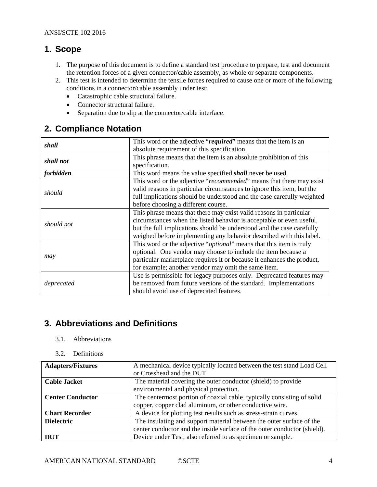## <span id="page-3-0"></span>**1. Scope**

- 1. The purpose of this document is to define a standard test procedure to prepare, test and document the retention forces of a given connector/cable assembly, as whole or separate components.
- 2. This test is intended to determine the tensile forces required to cause one or more of the following conditions in a connector/cable assembly under test:
	- Catastrophic cable structural failure.
	- Connector structural failure.
	- Separation due to slip at the connector/cable interface.

## <span id="page-3-1"></span>**2. Compliance Notation**

| shall            | This word or the adjective "required" means that the item is an              |
|------------------|------------------------------------------------------------------------------|
|                  | absolute requirement of this specification.                                  |
| shall not        | This phrase means that the item is an absolute prohibition of this           |
|                  | specification.                                                               |
| <i>forbidden</i> | This word means the value specified <i>shall</i> never be used.              |
|                  | This word or the adjective "recommended" means that there may exist          |
| should           | valid reasons in particular circumstances to ignore this item, but the       |
|                  | full implications should be understood and the case carefully weighted       |
|                  | before choosing a different course.                                          |
|                  | This phrase means that there may exist valid reasons in particular           |
| should not       | circumstances when the listed behavior is acceptable or even useful,         |
|                  | but the full implications should be understood and the case carefully        |
|                  | weighed before implementing any behavior described with this label.          |
|                  | This word or the adjective " <i>optional</i> " means that this item is truly |
|                  | optional. One vendor may choose to include the item because a                |
| may              | particular marketplace requires it or because it enhances the product,       |
|                  | for example; another vendor may omit the same item.                          |
|                  | Use is permissible for legacy purposes only. Deprecated features may         |
| deprecated       | be removed from future versions of the standard. Implementations             |
|                  | should avoid use of deprecated features.                                     |

## <span id="page-3-2"></span>**3. Abbreviations and Definitions**

#### <span id="page-3-3"></span>3.1. Abbreviations

#### <span id="page-3-4"></span>3.2. Definitions

| <b>Adapters/Fixtures</b> | A mechanical device typically located between the test stand Load Cell<br>or Crosshead and the DUT                                               |
|--------------------------|--------------------------------------------------------------------------------------------------------------------------------------------------|
| <b>Cable Jacket</b>      | The material covering the outer conductor (shield) to provide<br>environmental and physical protection.                                          |
| <b>Center Conductor</b>  | The centermost portion of coaxial cable, typically consisting of solid<br>copper, copper clad aluminum, or other conductive wire.                |
| <b>Chart Recorder</b>    | A device for plotting test results such as stress-strain curves.                                                                                 |
| <b>Dielectric</b>        | The insulating and support material between the outer surface of the<br>center conductor and the inside surface of the outer conductor (shield). |
| <b>DUT</b>               | Device under Test, also referred to as specimen or sample.                                                                                       |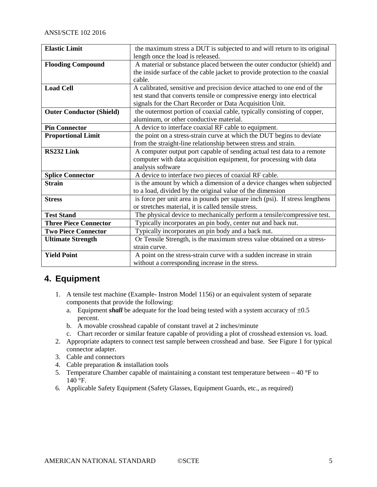| <b>Elastic Limit</b>            | the maximum stress a DUT is subjected to and will return to its original    |
|---------------------------------|-----------------------------------------------------------------------------|
|                                 | length once the load is released.                                           |
| <b>Flooding Compound</b>        | A material or substance placed between the outer conductor (shield) and     |
|                                 | the inside surface of the cable jacket to provide protection to the coaxial |
|                                 | cable.                                                                      |
| <b>Load Cell</b>                | A calibrated, sensitive and precision device attached to one end of the     |
|                                 | test stand that converts tensile or compressive energy into electrical      |
|                                 | signals for the Chart Recorder or Data Acquisition Unit.                    |
| <b>Outer Conductor (Shield)</b> | the outermost portion of coaxial cable, typically consisting of copper,     |
|                                 | aluminum, or other conductive material.                                     |
| <b>Pin Connector</b>            | A device to interface coaxial RF cable to equipment.                        |
| <b>Proportional Limit</b>       | the point on a stress-strain curve at which the DUT begins to deviate       |
|                                 | from the straight-line relationship between stress and strain.              |
| RS232 Link                      | A computer output port capable of sending actual test data to a remote      |
|                                 | computer with data acquisition equipment, for processing with data          |
|                                 | analysis software                                                           |
| <b>Splice Connector</b>         | A device to interface two pieces of coaxial RF cable.                       |
| <b>Strain</b>                   | is the amount by which a dimension of a device changes when subjected       |
|                                 | to a load, divided by the original value of the dimension                   |
| <b>Stress</b>                   | is force per unit area in pounds per square inch (psi). If stress lengthens |
|                                 | or stretches material, it is called tensile stress.                         |
| <b>Test Stand</b>               | The physical device to mechanically perform a tensile/compressive test.     |
| <b>Three Piece Connector</b>    | Typically incorporates an pin body, center nut and back nut.                |
| <b>Two Piece Connector</b>      | Typically incorporates an pin body and a back nut.                          |
| <b>Ultimate Strength</b>        | Or Tensile Strength, is the maximum stress value obtained on a stress-      |
|                                 | strain curve.                                                               |
| <b>Yield Point</b>              | A point on the stress-strain curve with a sudden increase in strain         |
|                                 | without a corresponding increase in the stress.                             |

## <span id="page-4-0"></span>**4. Equipment**

- 1. A tensile test machine (Example- Instron Model 1156) or an equivalent system of separate components that provide the following:
	- a. Equipment *shall* be adequate for the load being tested with a system accuracy of  $\pm 0.5$ percent.
	- b. A movable crosshead capable of constant travel at 2 inches/minute
	- c. Chart recorder or similar feature capable of providing a plot of crosshead extension vs. load.
- 2. Appropriate adapters to connect test sample between crosshead and base. See Figure 1 for typical connector adapter.
- 3. Cable and connectors
- 4. Cable preparation & installation tools
- 5. Temperature Chamber capable of maintaining a constant test temperature between  $-40$  °F to  $140^{\circ}$ F.
- 6. Applicable Safety Equipment (Safety Glasses, Equipment Guards, etc., as required)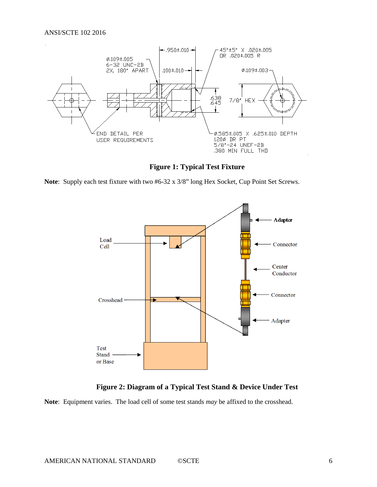

**Figure 1: Typical Test Fixture**

<span id="page-5-0"></span>**Note**: Supply each test fixture with two #6-32 x 3/8" long Hex Socket, Cup Point Set Screws.



**Figure 2: Diagram of a Typical Test Stand & Device Under Test**

<span id="page-5-1"></span>**Note**: Equipment varies. The load cell of some test stands *may* be affixed to the crosshead.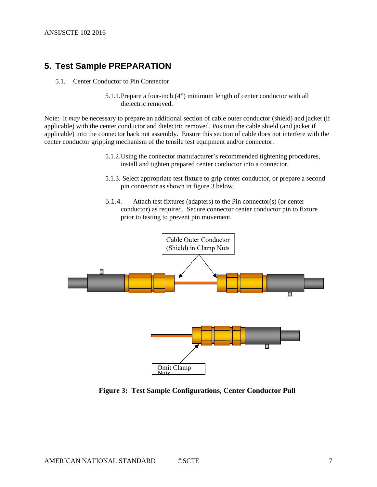## <span id="page-6-1"></span><span id="page-6-0"></span>**5. Test Sample PREPARATION**

- 5.1. Center Conductor to Pin Connector
	- 5.1.1.Prepare a four-inch (4") minimum length of center conductor with all dielectric removed.

Note: It *may* be necessary to prepare an additional section of cable outer conductor (shield) and jacket (if applicable) with the center conductor and dielectric removed. Position the cable shield (and jacket if applicable) into the connector back nut assembly. Ensure this section of cable does not interfere with the center conductor gripping mechanism of the tensile test equipment and/or connector.

- 5.1.2.Using the connector manufacturer's recommended tightening procedures, install and tighten prepared center conductor into a connector.
- 5.1.3. Select appropriate test fixture to grip center conductor, or prepare a second pin connector as shown in figure 3 below.
- 5.1.4. Attach test fixtures (adapters) to the Pin connector(s) (or center conductor) as required. Secure connector center conductor pin to fixture prior to testing to prevent pin movement.



<span id="page-6-2"></span>**Figure 3: Test Sample Configurations, Center Conductor Pull**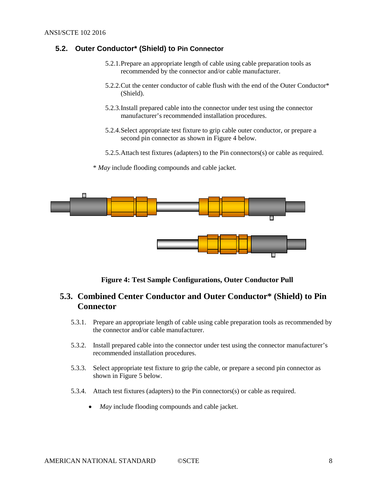#### <span id="page-7-0"></span>**5.2. Outer Conductor\* (Shield) to Pin Connector**

- 5.2.1.Prepare an appropriate length of cable using cable preparation tools as recommended by the connector and/or cable manufacturer.
- 5.2.2.Cut the center conductor of cable flush with the end of the Outer Conductor\* (Shield).
- 5.2.3.Install prepared cable into the connector under test using the connector manufacturer's recommended installation procedures.
- 5.2.4.Select appropriate test fixture to grip cable outer conductor, or prepare a second pin connector as shown in Figure 4 below.
- 5.2.5.Attach test fixtures (adapters) to the Pin connectors(s) or cable as required.
- \* *May* include flooding compounds and cable jacket.



<span id="page-7-6"></span>**Figure 4: Test Sample Configurations, Outer Conductor Pull**

### <span id="page-7-2"></span><span id="page-7-1"></span>**5.3. Combined Center Conductor and Outer Conductor\* (Shield) to Pin Connector**

- 5.3.1. Prepare an appropriate length of cable using cable preparation tools as recommended by the connector and/or cable manufacturer.
- <span id="page-7-3"></span>5.3.2. Install prepared cable into the connector under test using the connector manufacturer's recommended installation procedures.
- <span id="page-7-4"></span>5.3.3. Select appropriate test fixture to grip the cable, or prepare a second pin connector as shown in Figure 5 below.
- <span id="page-7-5"></span>5.3.4. Attach test fixtures (adapters) to the Pin connectors(s) or cable as required.
	- *May* include flooding compounds and cable jacket.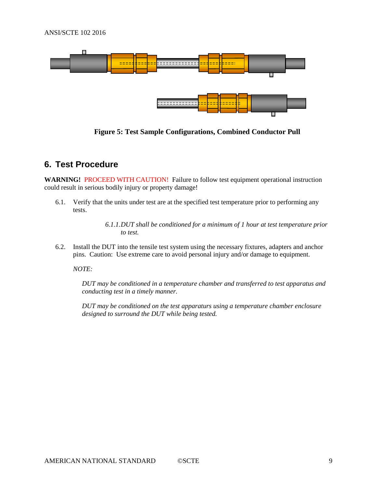<span id="page-8-3"></span>

**Figure 5: Test Sample Configurations, Combined Conductor Pull**

## <span id="page-8-0"></span>**6. Test Procedure**

**WARNING!** PROCEED WITH CAUTION! Failure to follow test equipment operational instruction could result in serious bodily injury or property damage!

<span id="page-8-1"></span>6.1. Verify that the units under test are at the specified test temperature prior to performing any tests.

> *6.1.1.DUT shall be conditioned for a minimum of 1 hour at test temperature prior to test.*

<span id="page-8-2"></span>6.2. Install the DUT into the tensile test system using the necessary fixtures, adapters and anchor pins. Caution: Use extreme care to avoid personal injury and/or damage to equipment.

*NOTE:*

*DUT may be conditioned in a temperature chamber and transferred to test apparatus and conducting test in a timely manner.*

*DUT may be conditioned on the test apparaturs using a temperature chamber enclosure designed to surround the DUT while being tested.*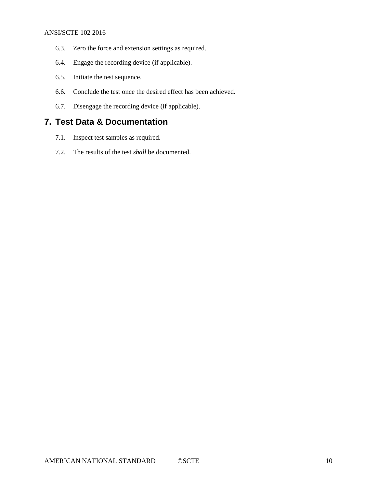#### ANSI/SCTE 102 2016

- <span id="page-9-0"></span>6.3. Zero the force and extension settings as required.
- <span id="page-9-1"></span>6.4. Engage the recording device (if applicable).
- <span id="page-9-2"></span>6.5. Initiate the test sequence.
- <span id="page-9-3"></span>6.6. Conclude the test once the desired effect has been achieved.
- <span id="page-9-4"></span>6.7. Disengage the recording device (if applicable).

### <span id="page-9-5"></span>**7. Test Data & Documentation**

- <span id="page-9-6"></span>7.1. Inspect test samples as required.
- <span id="page-9-7"></span>7.2. The results of the test *shall* be documented.